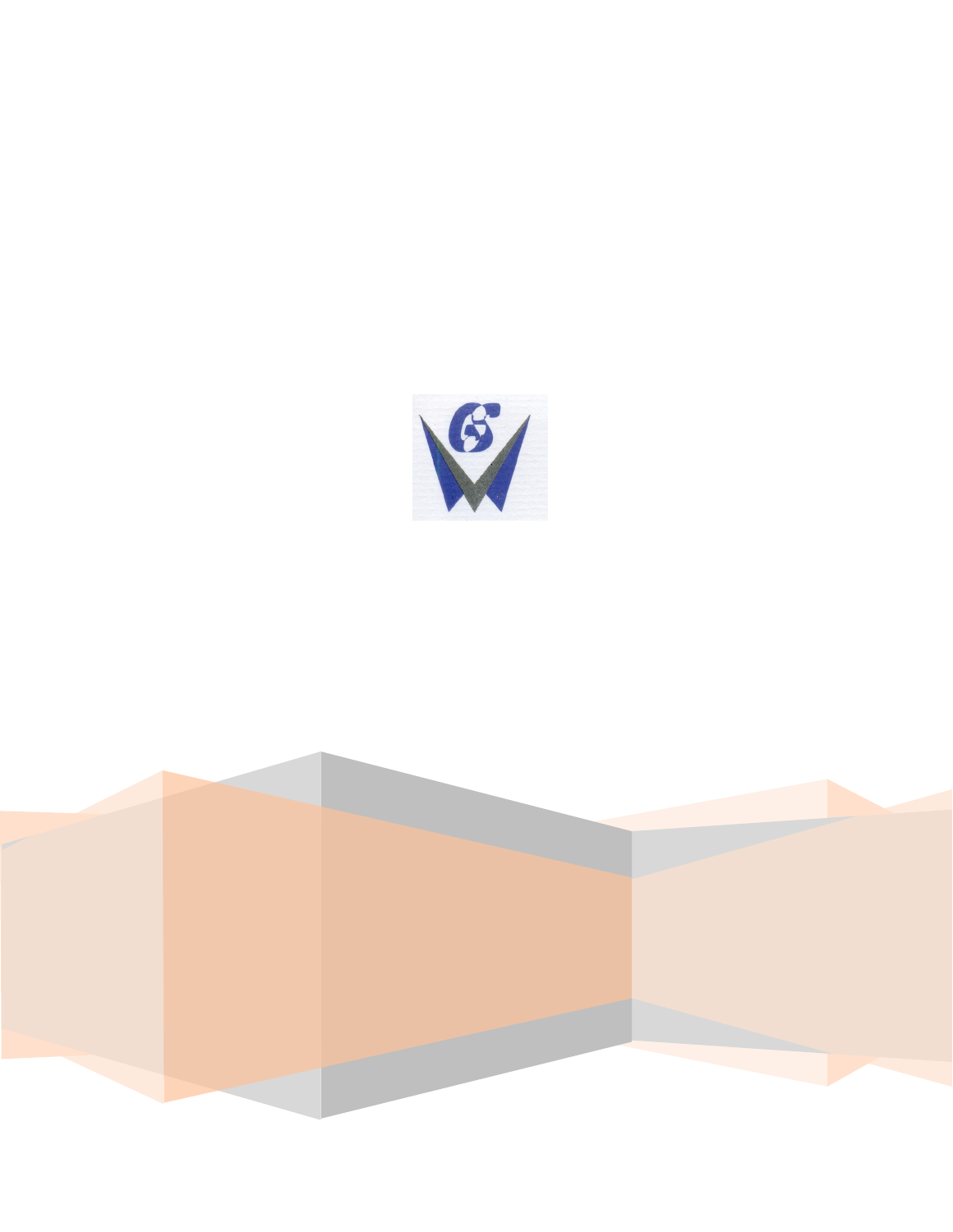

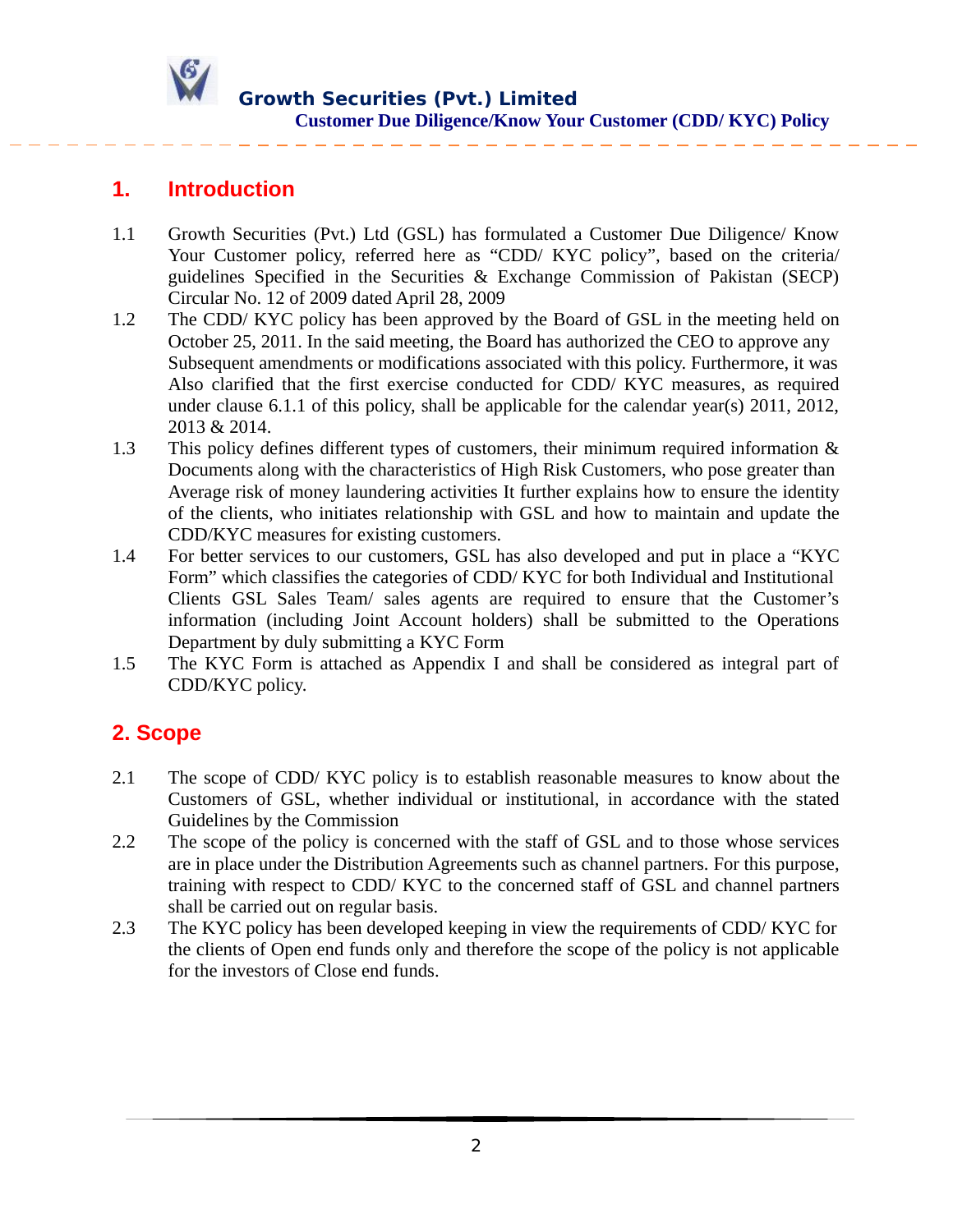

#### **1. Introduction**

- 1.1 Growth Securities (Pvt.) Ltd (GSL) has formulated a Customer Due Diligence/ Know Your Customer policy, referred here as "CDD/ KYC policy", based on the criteria/ guidelines Specified in the Securities & Exchange Commission of Pakistan (SECP) Circular No. 12 of 2009 dated April 28, 2009
- 1.2 The CDD/ KYC policy has been approved by the Board of GSL in the meeting held on October 25, 2011. In the said meeting, the Board has authorized the CEO to approve any Subsequent amendments or modifications associated with this policy. Furthermore, it was Also clarified that the first exercise conducted for CDD/ KYC measures, as required under clause 6.1.1 of this policy, shall be applicable for the calendar year(s) 2011, 2012, 2013 & 2014.
- 1.3 This policy defines different types of customers, their minimum required information & Documents along with the characteristics of High Risk Customers, who pose greater than Average risk of money laundering activities It further explains how to ensure the identity of the clients, who initiates relationship with GSL and how to maintain and update the CDD/KYC measures for existing customers.
- 1.4 For better services to our customers, GSL has also developed and put in place a "KYC Form" which classifies the categories of CDD/ KYC for both Individual and Institutional Clients GSL Sales Team/ sales agents are required to ensure that the Customer's information (including Joint Account holders) shall be submitted to the Operations Department by duly submitting a KYC Form
- 1.5 The KYC Form is attached as Appendix I and shall be considered as integral part of CDD/KYC policy.

### **2. Scope**

- 2.1 The scope of CDD/ KYC policy is to establish reasonable measures to know about the Customers of GSL, whether individual or institutional, in accordance with the stated Guidelines by the Commission
- 2.2 The scope of the policy is concerned with the staff of GSL and to those whose services are in place under the Distribution Agreements such as channel partners. For this purpose, training with respect to CDD/ KYC to the concerned staff of GSL and channel partners shall be carried out on regular basis.
- 2.3 The KYC policy has been developed keeping in view the requirements of CDD/ KYC for the clients of Open end funds only and therefore the scope of the policy is not applicable for the investors of Close end funds.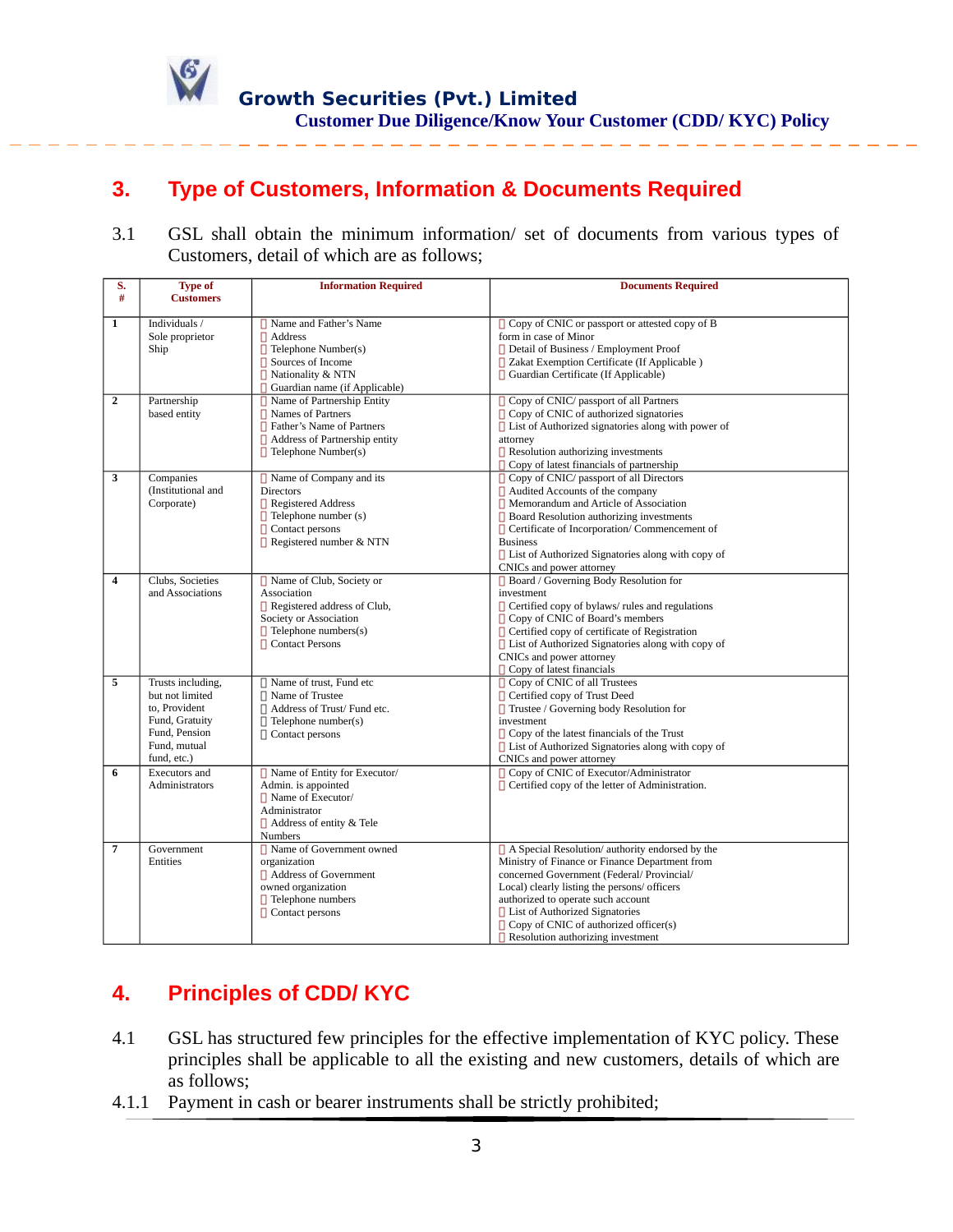

## **3. Type of Customers, Information & Documents Required**

3.1 GSL shall obtain the minimum information/ set of documents from various types of Customers, detail of which are as follows;

| S.<br>#        | <b>Type of</b><br><b>Customers</b>                                                                                      | <b>Information Required</b>                                                                                                                                                | <b>Documents Required</b>                                                                                                                                                                                                                                                                                                                                                         |
|----------------|-------------------------------------------------------------------------------------------------------------------------|----------------------------------------------------------------------------------------------------------------------------------------------------------------------------|-----------------------------------------------------------------------------------------------------------------------------------------------------------------------------------------------------------------------------------------------------------------------------------------------------------------------------------------------------------------------------------|
| $\mathbf{1}$   | Individuals /<br>Sole proprietor<br>Ship                                                                                | $\Box$ Name and Father's Name<br>$\Box$ Address<br>$\Box$ Telephone Number(s)<br>□ Sources of Income<br>$\Box$ Nationality & NTN<br>$\Box$ Guardian name (if Applicable)   | $\Box$ Copy of CNIC or passport or attested copy of B<br>form in case of Minor<br>□ Detail of Business / Employment Proof<br>□ Zakat Exemption Certificate (If Applicable)<br>  Guardian Certificate (If Applicable)                                                                                                                                                              |
| $\overline{2}$ | Partnership<br>based entity                                                                                             | $\Box$ Name of Partnership Entity<br>□ Names of Partners<br>□ Father's Name of Partners<br>$\Box$ Address of Partnership entity<br>$\Box$ Telephone Number(s)              | □ Copy of CNIC/ passport of all Partners<br>□ Copy of CNIC of authorized signatories<br>$\Box$ List of Authorized signatories along with power of<br>attorney<br>$\Box$ Resolution authorizing investments<br>□ Copy of latest financials of partnership                                                                                                                          |
| 3              | Companies<br>(Institutional and<br>Corporate)                                                                           | $\Box$ Name of Company and its<br><b>Directors</b><br>$\Box$ Registered Address<br>$\Box$ Telephone number (s)<br>$\Box$ Contact persons<br>$\Box$ Registered number & NTN | Copy of CNIC/ passport of all Directors<br>□ Audited Accounts of the company<br>$\Box$ Memorandum and Article of Association<br>$\Box$ Board Resolution authorizing investments<br>□ Certificate of Incorporation/ Commencement of<br><b>Business</b><br>$\Box$ List of Authorized Signatories along with copy of<br>CNICs and power attorney                                     |
| 4              | Clubs, Societies<br>and Associations                                                                                    | □ Name of Club, Society or<br>Association<br>□ Registered address of Club,<br>Society or Association<br>$\Box$ Telephone numbers(s)<br>□ Contact Persons                   | Board / Governing Body Resolution for<br>investment<br>$\Box$ Certified copy of bylaws/ rules and regulations<br>□ Copy of CNIC of Board's members<br>$\Box$ Certified copy of certificate of Registration<br>□ List of Authorized Signatories along with copy of<br>CNICs and power attorney<br>$\Box$ Copy of latest financials                                                 |
| 5              | Trusts including,<br>but not limited<br>to, Provident<br>Fund, Gratuity<br>Fund. Pension<br>Fund, mutual<br>fund, etc.) | □ Name of trust, Fund etc<br>□ Name of Trustee<br>□ Address of Trust/ Fund etc.<br>$\Box$ Telephone number(s)<br>$\Box$ Contact persons                                    | □ Copy of CNIC of all Trustees<br>□ Certified copy of Trust Deed<br>$\Box$ Trustee / Governing body Resolution for<br>investment<br>$\Box$ Copy of the latest financials of the Trust<br>$\Box$ List of Authorized Signatories along with copy of<br>CNICs and power attorney                                                                                                     |
| 6              | Executors and<br><b>Administrators</b>                                                                                  | □ Name of Entity for Executor/<br>Admin. is appointed<br>$\Box$ Name of Executor/<br>Administrator<br>□ Address of entity & Tele<br><b>Numbers</b>                         | □ Copy of CNIC of Executor/Administrator<br>$\Box$ Certified copy of the letter of Administration.                                                                                                                                                                                                                                                                                |
| 7              | Government<br>Entities                                                                                                  | □ Name of Government owned<br>organization<br>$\Box$ Address of Government<br>owned organization<br>$\Box$ Telephone numbers<br>□ Contact persons                          | $\Box$ A Special Resolution/ authority endorsed by the<br>Ministry of Finance or Finance Department from<br>concerned Government (Federal/ Provincial/<br>Local) clearly listing the persons/ officers<br>authorized to operate such account<br>$\Box$ List of Authorized Signatories<br>$\Box$ Copy of CNIC of authorized officer(s)<br>$\Box$ Resolution authorizing investment |

# **4. Principles of CDD/ KYC**

- 4.1 GSL has structured few principles for the effective implementation of KYC policy. These principles shall be applicable to all the existing and new customers, details of which are as follows;
- 4.1.1 Payment in cash or bearer instruments shall be strictly prohibited;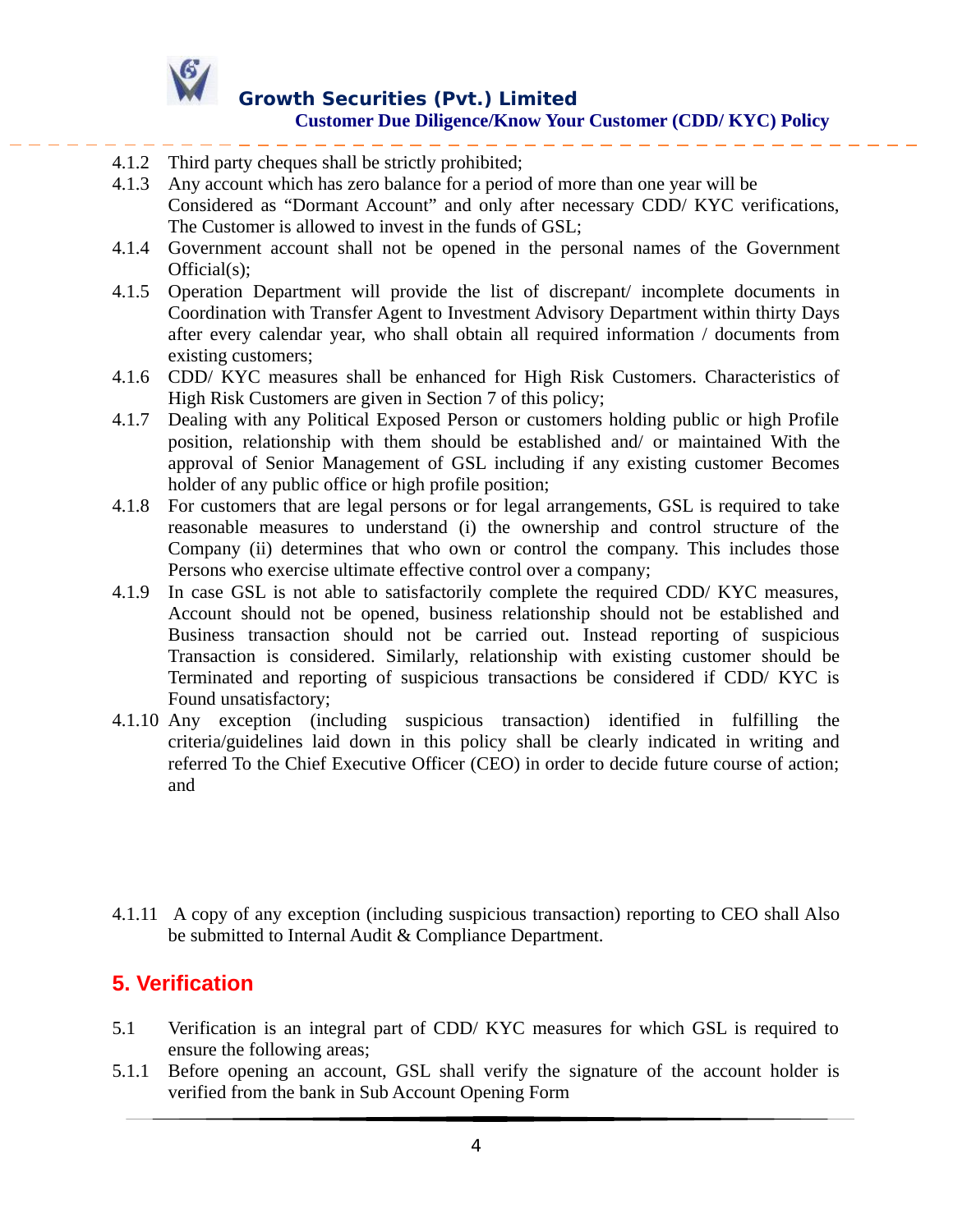

- 4.1.2 Third party cheques shall be strictly prohibited;
- 4.1.3 Any account which has zero balance for a period of more than one year will be Considered as "Dormant Account" and only after necessary CDD/ KYC verifications, The Customer is allowed to invest in the funds of GSL;

- - - - - -

- 4.1.4 Government account shall not be opened in the personal names of the Government Official(s);
- 4.1.5 Operation Department will provide the list of discrepant/ incomplete documents in Coordination with Transfer Agent to Investment Advisory Department within thirty Days after every calendar year, who shall obtain all required information / documents from existing customers;
- 4.1.6 CDD/ KYC measures shall be enhanced for High Risk Customers. Characteristics of High Risk Customers are given in Section 7 of this policy;
- 4.1.7 Dealing with any Political Exposed Person or customers holding public or high Profile position, relationship with them should be established and/ or maintained With the approval of Senior Management of GSL including if any existing customer Becomes holder of any public office or high profile position;
- 4.1.8 For customers that are legal persons or for legal arrangements, GSL is required to take reasonable measures to understand (i) the ownership and control structure of the Company (ii) determines that who own or control the company. This includes those Persons who exercise ultimate effective control over a company;
- 4.1.9 In case GSL is not able to satisfactorily complete the required CDD/ KYC measures, Account should not be opened, business relationship should not be established and Business transaction should not be carried out. Instead reporting of suspicious Transaction is considered. Similarly, relationship with existing customer should be Terminated and reporting of suspicious transactions be considered if CDD/ KYC is Found unsatisfactory;
- 4.1.10 Any exception (including suspicious transaction) identified in fulfilling the criteria/guidelines laid down in this policy shall be clearly indicated in writing and referred To the Chief Executive Officer (CEO) in order to decide future course of action; and
- 4.1.11 A copy of any exception (including suspicious transaction) reporting to CEO shall Also be submitted to Internal Audit & Compliance Department.

### **5. Verification**

- 5.1 Verification is an integral part of CDD/ KYC measures for which GSL is required to ensure the following areas;
- 5.1.1 Before opening an account, GSL shall verify the signature of the account holder is verified from the bank in Sub Account Opening Form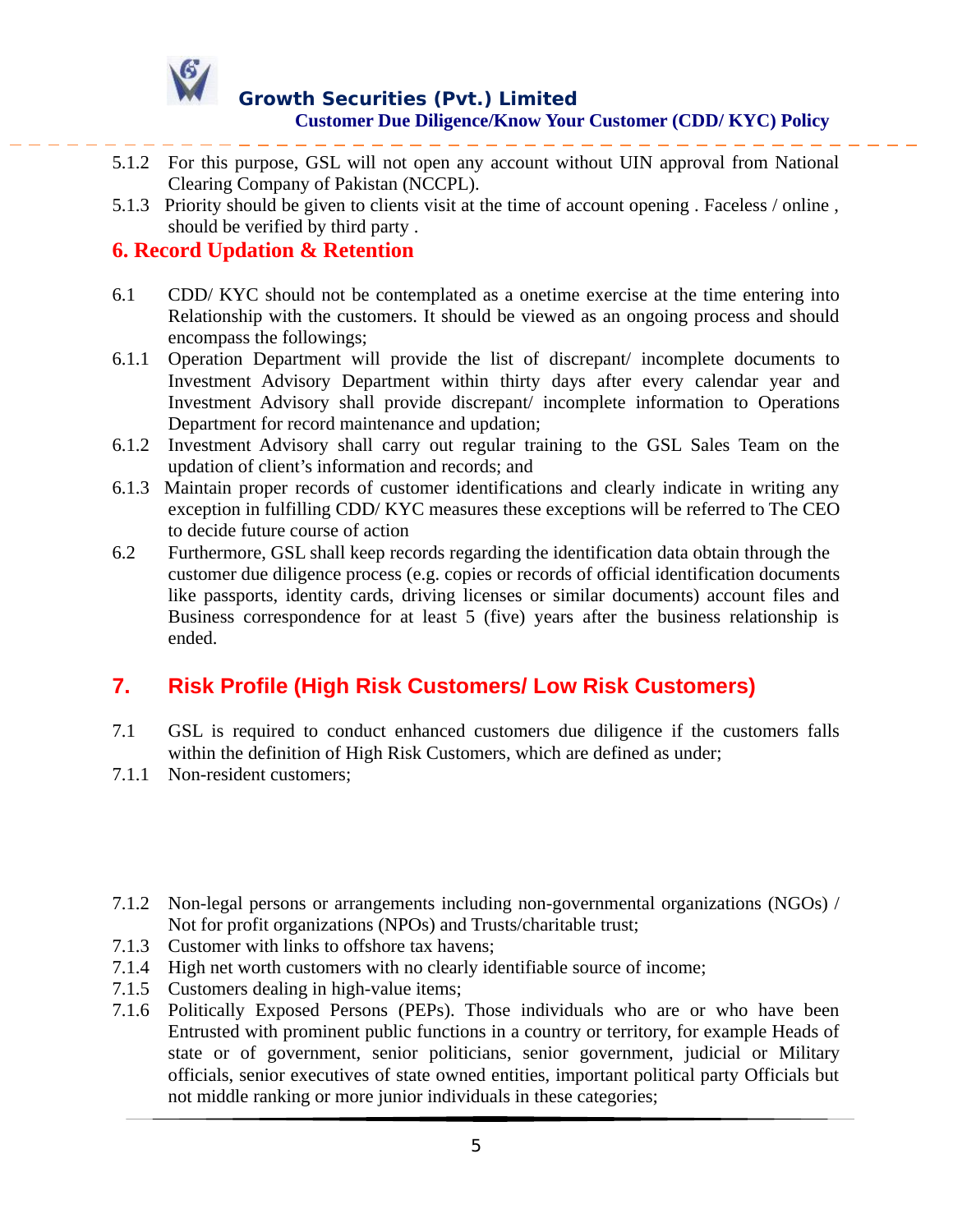

-----------------------

- 5.1.2 For this purpose, GSL will not open any account without UIN approval from National Clearing Company of Pakistan (NCCPL).
- 5.1.3 Priority should be given to clients visit at the time of account opening . Faceless / online , should be verified by third party .

#### **6. Record Updation & Retention**

- 6.1 CDD/ KYC should not be contemplated as a onetime exercise at the time entering into Relationship with the customers. It should be viewed as an ongoing process and should encompass the followings;
- 6.1.1 Operation Department will provide the list of discrepant/ incomplete documents to Investment Advisory Department within thirty days after every calendar year and Investment Advisory shall provide discrepant/ incomplete information to Operations Department for record maintenance and updation;
- 6.1.2 Investment Advisory shall carry out regular training to the GSL Sales Team on the updation of client's information and records; and
- 6.1.3 Maintain proper records of customer identifications and clearly indicate in writing any exception in fulfilling CDD/ KYC measures these exceptions will be referred to The CEO to decide future course of action
- 6.2 Furthermore, GSL shall keep records regarding the identification data obtain through the customer due diligence process (e.g. copies or records of official identification documents like passports, identity cards, driving licenses or similar documents) account files and Business correspondence for at least 5 (five) years after the business relationship is ended.

# **7. Risk Profile (High Risk Customers/ Low Risk Customers)**

- 7.1 GSL is required to conduct enhanced customers due diligence if the customers falls within the definition of High Risk Customers, which are defined as under;
- 7.1.1 Non-resident customers;
- 7.1.2 Non-legal persons or arrangements including non-governmental organizations (NGOs) / Not for profit organizations (NPOs) and Trusts/charitable trust;
- 7.1.3 Customer with links to offshore tax havens;
- 7.1.4 High net worth customers with no clearly identifiable source of income;
- 7.1.5 Customers dealing in high-value items;
- 7.1.6 Politically Exposed Persons (PEPs). Those individuals who are or who have been Entrusted with prominent public functions in a country or territory, for example Heads of state or of government, senior politicians, senior government, judicial or Military officials, senior executives of state owned entities, important political party Officials but not middle ranking or more junior individuals in these categories;